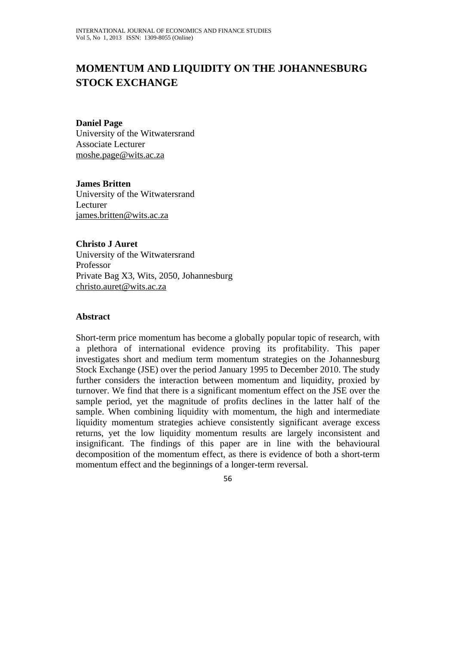# **MOMENTUM AND LIQUIDITY ON THE JOHANNESBURG STOCK EXCHANGE**

**Daniel Page**  University of the Witwatersrand Associate Lecturer moshe.page@wits.ac.za

**James Britten**  University of the Witwatersrand Lecturer james.britten@wits.ac.za

**Christo J Auret**  University of the Witwatersrand Professor Private Bag X3, Wits, 2050, Johannesburg christo.auret@wits.ac.za

#### **Abstract**

Short-term price momentum has become a globally popular topic of research, with a plethora of international evidence proving its profitability. This paper investigates short and medium term momentum strategies on the Johannesburg Stock Exchange (JSE) over the period January 1995 to December 2010. The study further considers the interaction between momentum and liquidity, proxied by turnover. We find that there is a significant momentum effect on the JSE over the sample period, yet the magnitude of profits declines in the latter half of the sample. When combining liquidity with momentum, the high and intermediate liquidity momentum strategies achieve consistently significant average excess returns, yet the low liquidity momentum results are largely inconsistent and insignificant. The findings of this paper are in line with the behavioural decomposition of the momentum effect, as there is evidence of both a short-term momentum effect and the beginnings of a longer-term reversal.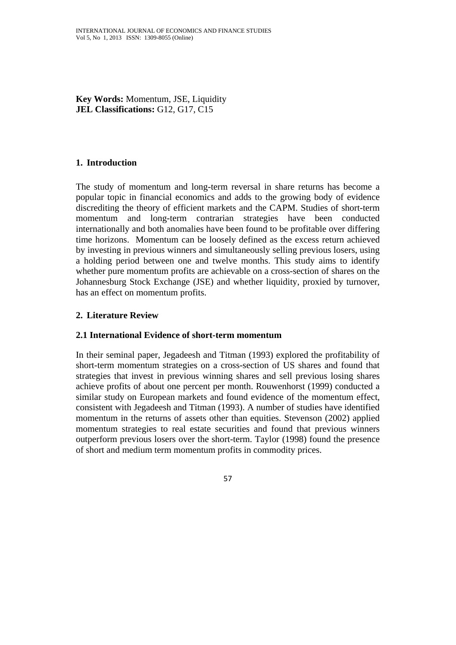**Key Words:** Momentum, JSE, Liquidity **JEL Classifications:** G12, G17, C15

# **1. Introduction**

The study of momentum and long-term reversal in share returns has become a popular topic in financial economics and adds to the growing body of evidence discrediting the theory of efficient markets and the CAPM. Studies of short-term momentum and long-term contrarian strategies have been conducted internationally and both anomalies have been found to be profitable over differing time horizons. Momentum can be loosely defined as the excess return achieved by investing in previous winners and simultaneously selling previous losers, using a holding period between one and twelve months. This study aims to identify whether pure momentum profits are achievable on a cross-section of shares on the Johannesburg Stock Exchange (JSE) and whether liquidity, proxied by turnover, has an effect on momentum profits.

# **2. Literature Review**

## **2.1 International Evidence of short-term momentum**

In their seminal paper, Jegadeesh and Titman (1993) explored the profitability of short-term momentum strategies on a cross-section of US shares and found that strategies that invest in previous winning shares and sell previous losing shares achieve profits of about one percent per month. Rouwenhorst (1999) conducted a similar study on European markets and found evidence of the momentum effect, consistent with Jegadeesh and Titman (1993). A number of studies have identified momentum in the returns of assets other than equities. Stevenson (2002) applied momentum strategies to real estate securities and found that previous winners outperform previous losers over the short-term. Taylor (1998) found the presence of short and medium term momentum profits in commodity prices.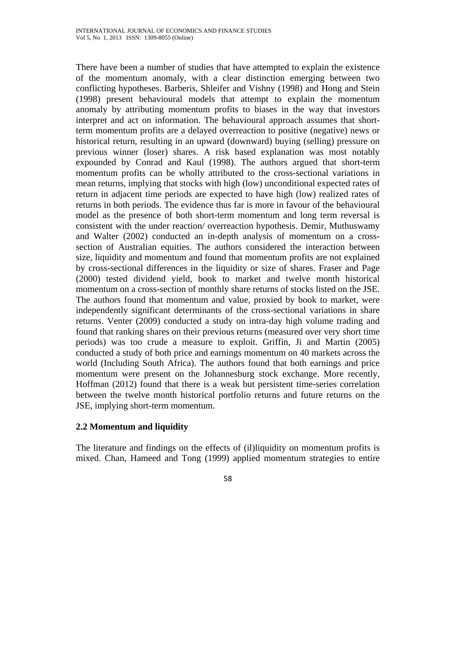There have been a number of studies that have attempted to explain the existence of the momentum anomaly, with a clear distinction emerging between two conflicting hypotheses. Barberis, Shleifer and Vishny (1998) and Hong and Stein (1998) present behavioural models that attempt to explain the momentum anomaly by attributing momentum profits to biases in the way that investors interpret and act on information. The behavioural approach assumes that shortterm momentum profits are a delayed overreaction to positive (negative) news or historical return, resulting in an upward (downward) buying (selling) pressure on previous winner (loser) shares. A risk based explanation was most notably expounded by Conrad and Kaul (1998). The authors argued that short-term momentum profits can be wholly attributed to the cross-sectional variations in mean returns, implying that stocks with high (low) unconditional expected rates of return in adjacent time periods are expected to have high (low) realized rates of returns in both periods. The evidence thus far is more in favour of the behavioural model as the presence of both short-term momentum and long term reversal is consistent with the under reaction/ overreaction hypothesis. Demir, Muthuswamy and Walter (2002) conducted an in-depth analysis of momentum on a crosssection of Australian equities. The authors considered the interaction between size, liquidity and momentum and found that momentum profits are not explained by cross-sectional differences in the liquidity or size of shares. Fraser and Page (2000) tested dividend yield, book to market and twelve month historical momentum on a cross-section of monthly share returns of stocks listed on the JSE. The authors found that momentum and value, proxied by book to market, were independently significant determinants of the cross-sectional variations in share returns. Venter (2009) conducted a study on intra-day high volume trading and found that ranking shares on their previous returns (measured over very short time periods) was too crude a measure to exploit. Griffin, Ji and Martin (2005) conducted a study of both price and earnings momentum on 40 markets across the world (Including South Africa). The authors found that both earnings and price momentum were present on the Johannesburg stock exchange. More recently, Hoffman (2012) found that there is a weak but persistent time-series correlation between the twelve month historical portfolio returns and future returns on the JSE, implying short-term momentum.

# **2.2 Momentum and liquidity**

The literature and findings on the effects of (il)liquidity on momentum profits is mixed. Chan, Hameed and Tong (1999) applied momentum strategies to entire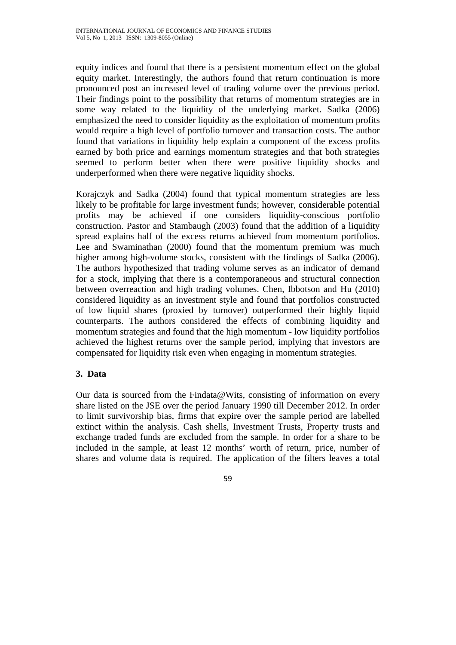equity indices and found that there is a persistent momentum effect on the global equity market. Interestingly, the authors found that return continuation is more pronounced post an increased level of trading volume over the previous period. Their findings point to the possibility that returns of momentum strategies are in some way related to the liquidity of the underlying market. Sadka (2006) emphasized the need to consider liquidity as the exploitation of momentum profits would require a high level of portfolio turnover and transaction costs. The author found that variations in liquidity help explain a component of the excess profits earned by both price and earnings momentum strategies and that both strategies seemed to perform better when there were positive liquidity shocks and underperformed when there were negative liquidity shocks.

Korajczyk and Sadka (2004) found that typical momentum strategies are less likely to be profitable for large investment funds; however, considerable potential profits may be achieved if one considers liquidity-conscious portfolio construction. Pastor and Stambaugh (2003) found that the addition of a liquidity spread explains half of the excess returns achieved from momentum portfolios. Lee and Swaminathan (2000) found that the momentum premium was much higher among high-volume stocks, consistent with the findings of Sadka (2006). The authors hypothesized that trading volume serves as an indicator of demand for a stock, implying that there is a contemporaneous and structural connection between overreaction and high trading volumes. Chen, Ibbotson and Hu (2010) considered liquidity as an investment style and found that portfolios constructed of low liquid shares (proxied by turnover) outperformed their highly liquid counterparts. The authors considered the effects of combining liquidity and momentum strategies and found that the high momentum - low liquidity portfolios achieved the highest returns over the sample period, implying that investors are compensated for liquidity risk even when engaging in momentum strategies.

# **3. Data**

Our data is sourced from the Findata@Wits, consisting of information on every share listed on the JSE over the period January 1990 till December 2012. In order to limit survivorship bias, firms that expire over the sample period are labelled extinct within the analysis. Cash shells, Investment Trusts, Property trusts and exchange traded funds are excluded from the sample. In order for a share to be included in the sample, at least 12 months' worth of return, price, number of shares and volume data is required. The application of the filters leaves a total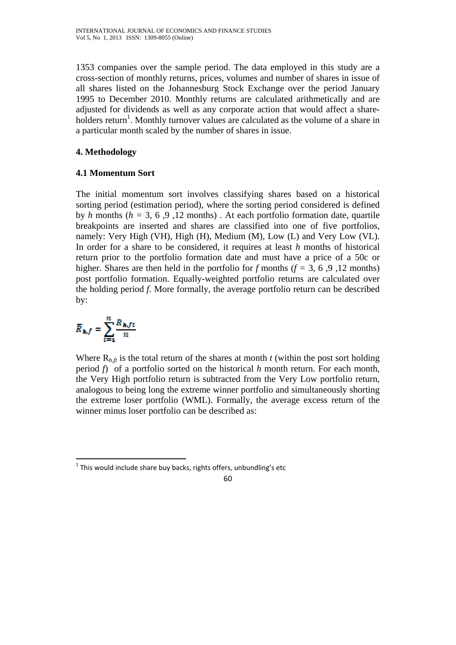1353 companies over the sample period. The data employed in this study are a cross-section of monthly returns, prices, volumes and number of shares in issue of all shares listed on the Johannesburg Stock Exchange over the period January 1995 to December 2010. Monthly returns are calculated arithmetically and are adjusted for dividends as well as any corporate action that would affect a shareholders return<sup>1</sup>. Monthly turnover values are calculated as the volume of a share in a particular month scaled by the number of shares in issue.

# **4. Methodology**

# **4.1 Momentum Sort**

The initial momentum sort involves classifying shares based on a historical sorting period (estimation period), where the sorting period considered is defined by *h* months ( $h = 3, 6, 9, 12$  months). At each portfolio formation date, quartile breakpoints are inserted and shares are classified into one of five portfolios, namely: Very High (VH), High (H), Medium (M), Low (L) and Very Low (VL). In order for a share to be considered, it requires at least *h* months of historical return prior to the portfolio formation date and must have a price of a 50c or higher. Shares are then held in the portfolio for *f* months ( $f = 3, 6, 9, 12$  months) post portfolio formation. Equally-weighted portfolio returns are calculated over the holding period *f*. More formally, the average portfolio return can be described by:

$$
\overline{R}_{h,f} = \sum_{t=1}^{n} \frac{R_{h,ft}}{n}
$$

Where  $R_{h,ft}$  is the total return of the shares at month *t* (within the post sort holding period *f*) of a portfolio sorted on the historical *h* month return. For each month, the Very High portfolio return is subtracted from the Very Low portfolio return, analogous to being long the extreme winner portfolio and simultaneously shorting the extreme loser portfolio (WML). Formally, the average excess return of the winner minus loser portfolio can be described as:

  $1$  This would include share buy backs, rights offers, unbundling's etc

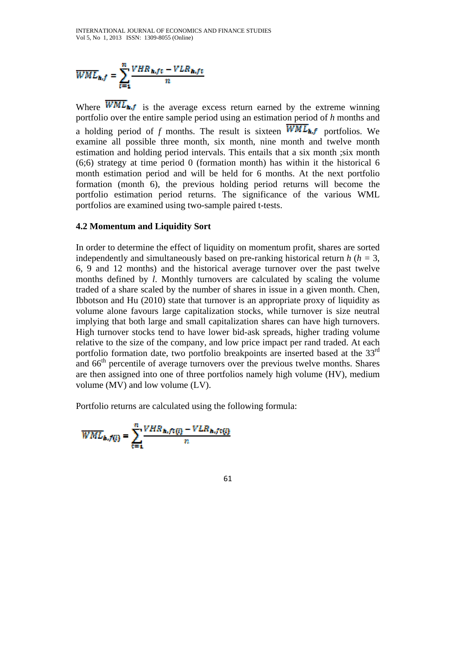$$
\overline{WME}_{h,f} = \sum_{t=1}^{n} \frac{VHR_{h,ft} - VLR_{h,ft}}{n}
$$

Where  $\overline{WML}_{\text{in},f}$  is the average excess return earned by the extreme winning portfolio over the entire sample period using an estimation period of *h* months and a holding period of *f* months. The result is sixteen  $\overline{WML}_{h,f}$  portfolios. We examine all possible three month, six month, nine month and twelve month estimation and holding period intervals. This entails that a six month ;six month (6;6) strategy at time period 0 (formation month) has within it the historical 6 month estimation period and will be held for 6 months. At the next portfolio formation (month 6), the previous holding period returns will become the portfolio estimation period returns. The significance of the various WML portfolios are examined using two-sample paired t-tests.

#### **4.2 Momentum and Liquidity Sort**

In order to determine the effect of liquidity on momentum profit, shares are sorted independently and simultaneously based on pre-ranking historical return *h* (*h =* 3, 6, 9 and 12 months) and the historical average turnover over the past twelve months defined by *l*. Monthly turnovers are calculated by scaling the volume traded of a share scaled by the number of shares in issue in a given month. Chen, Ibbotson and Hu (2010) state that turnover is an appropriate proxy of liquidity as volume alone favours large capitalization stocks, while turnover is size neutral implying that both large and small capitalization shares can have high turnovers. High turnover stocks tend to have lower bid-ask spreads, higher trading volume relative to the size of the company, and low price impact per rand traded. At each portfolio formation date, two portfolio breakpoints are inserted based at the 33<sup>rd</sup> and 66<sup>th</sup> percentile of average turnovers over the previous twelve months. Shares are then assigned into one of three portfolios namely high volume (HV), medium volume (MV) and low volume (LV).

Portfolio returns are calculated using the following formula:

$$
\overline{WML}_{h,f(l)} = \sum_{t=1}^{n} \frac{VHR_{h,f(t(l)} - VLR_{h,f(t(l))})}{n}
$$

61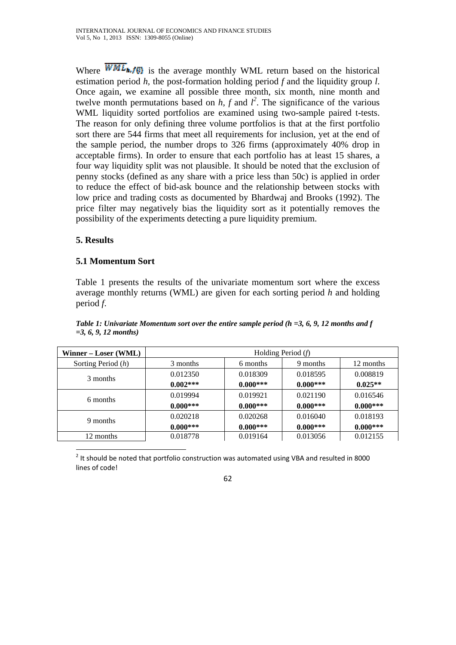Where  $\overline{WML}_{h,f}$  is the average monthly WML return based on the historical estimation period *h,* the post-formation holding period *f* and the liquidity group *l*. Once again, we examine all possible three month, six month, nine month and twelve month permutations based on  $h$ ,  $f$  and  $l^2$ . The significance of the various WML liquidity sorted portfolios are examined using two-sample paired t-tests. The reason for only defining three volume portfolios is that at the first portfolio sort there are 544 firms that meet all requirements for inclusion, yet at the end of the sample period, the number drops to 326 firms (approximately 40% drop in acceptable firms). In order to ensure that each portfolio has at least 15 shares, a four way liquidity split was not plausible. It should be noted that the exclusion of penny stocks (defined as any share with a price less than 50c) is applied in order to reduce the effect of bid-ask bounce and the relationship between stocks with low price and trading costs as documented by Bhardwaj and Brooks (1992). The price filter may negatively bias the liquidity sort as it potentially removes the possibility of the experiments detecting a pure liquidity premium.

# **5. Results**

# **5.1 Momentum Sort**

Table 1 presents the results of the univariate momentum sort where the excess average monthly returns (WML) are given for each sorting period *h* and holding period *f*.

| Winner – Loser (WML) | Holding Period $(f)$ |            |            |            |
|----------------------|----------------------|------------|------------|------------|
| Sorting Period (h)   | 3 months             | 6 months   | 9 months   | 12 months  |
| 3 months             | 0.012350             | 0.018309   | 0.018595   | 0.008819   |
|                      | $0.002***$           | $0.000***$ | $0.000***$ | $0.025**$  |
| 6 months             | 0.019994             | 0.019921   | 0.021190   | 0.016546   |
|                      | $0.000***$           | $0.000***$ | $0.000***$ | $0.000***$ |
| 9 months             | 0.020218             | 0.020268   | 0.016040   | 0.018193   |
|                      | $0.000***$           | $0.000***$ | $0.000***$ | $0.000***$ |
| 12 months            | 0.018778             | 0.019164   | 0.013056   | 0.012155   |

*Table 1: Univariate Momentum sort over the entire sample period (h =3, 6, 9, 12 months and f =3, 6, 9, 12 months)* 

  $2$  It should be noted that portfolio construction was automated using VBA and resulted in 8000 lines of code!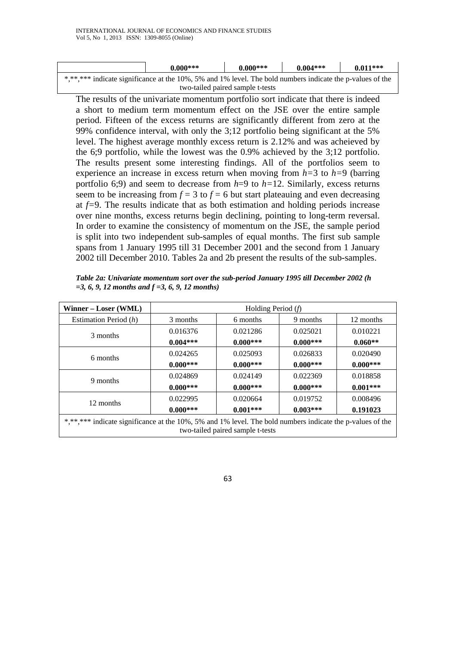|                                                                                                           | $0.000***$ | $0.000***$ | $0.004***$ | $0.011***$ |  |
|-----------------------------------------------------------------------------------------------------------|------------|------------|------------|------------|--|
| ******** indicate significance at the 10%, 5% and 1% level. The bold numbers indicate the p-values of the |            |            |            |            |  |
| two-tailed paired sample t-tests                                                                          |            |            |            |            |  |

The results of the univariate momentum portfolio sort indicate that there is indeed a short to medium term momentum effect on the JSE over the entire sample period. Fifteen of the excess returns are significantly different from zero at the 99% confidence interval, with only the 3;12 portfolio being significant at the 5% level. The highest average monthly excess return is 2.12% and was acheieved by the 6;9 portfolio, while the lowest was the 0.9% achieved by the 3;12 portfolio. The results present some interesting findings. All of the portfolios seem to experience an increase in excess return when moving from *h=*3 to *h=*9 (barring portfolio 6;9) and seem to decrease from *h*=9 to *h=*12. Similarly, excess returns seem to be increasing from  $f = 3$  to  $f = 6$  but start plateauing and even decreasing at *f=*9. The results indicate that as both estimation and holding periods increase over nine months, excess returns begin declining, pointing to long-term reversal. In order to examine the consistency of momentum on the JSE, the sample period is split into two independent sub-samples of equal months. The first sub sample spans from 1 January 1995 till 31 December 2001 and the second from 1 January 2002 till December 2010. Tables 2a and 2b present the results of the sub-samples.

*Table 2a: Univariate momentum sort over the sub-period January 1995 till December 2002 (h =3, 6, 9, 12 months and f =3, 6, 9, 12 months)* 

| Winner – Loser (WML)                                                                                                                          | Holding Period $(f)$ |            |            |            |
|-----------------------------------------------------------------------------------------------------------------------------------------------|----------------------|------------|------------|------------|
| Estimation Period (h)                                                                                                                         | 3 months             | 6 months   | 9 months   | 12 months  |
| 3 months                                                                                                                                      | 0.016376             | 0.021286   | 0.025021   | 0.010221   |
|                                                                                                                                               | $0.004***$           | $0.000***$ | $0.000***$ | $0.060**$  |
| 6 months                                                                                                                                      | 0.024265             | 0.025093   | 0.026833   | 0.020490   |
|                                                                                                                                               | $0.000***$           | $0.000***$ | $0.000***$ | $0.000***$ |
| 9 months                                                                                                                                      | 0.024869             | 0.024149   | 0.022369   | 0.018858   |
|                                                                                                                                               | $0.000***$           | $0.000***$ | $0.000***$ | $0.001***$ |
| 12 months                                                                                                                                     | 0.022995             | 0.020664   | 0.019752   | 0.008496   |
|                                                                                                                                               | $0.000***$           | $0.001***$ | $0.003***$ | 0.191023   |
| *,**,*** indicate significance at the 10%, 5% and 1% level. The bold numbers indicate the p-values of the<br>two-tailed paired sample t-tests |                      |            |            |            |

63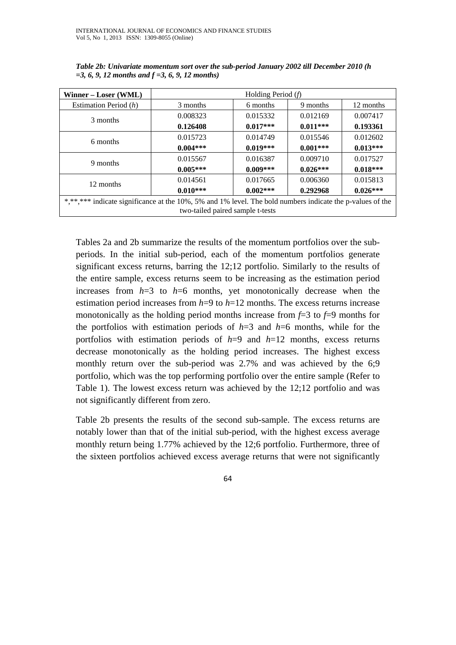| Winner – Loser (WML)                                                                                      | Holding Period $(f)$ |            |            |            |
|-----------------------------------------------------------------------------------------------------------|----------------------|------------|------------|------------|
| Estimation Period (h)                                                                                     | 3 months             | 6 months   | 9 months   | 12 months  |
| 3 months                                                                                                  | 0.008323             | 0.015332   | 0.012169   | 0.007417   |
|                                                                                                           | 0.126408             | $0.017***$ | $0.011***$ | 0.193361   |
| 6 months                                                                                                  | 0.015723             | 0.014749   | 0.015546   | 0.012602   |
|                                                                                                           | $0.004***$           | $0.019***$ | $0.001***$ | $0.013***$ |
| 9 months                                                                                                  | 0.015567             | 0.016387   | 0.009710   | 0.017527   |
|                                                                                                           | $0.005***$           | $0.009***$ | $0.026***$ | $0.018***$ |
| 12 months                                                                                                 | 0.014561             | 0.017665   | 0.006360   | 0.015813   |
|                                                                                                           | $0.010***$           | $0.002***$ | 0.292968   | $0.026***$ |
| *,**,*** indicate significance at the 10%, 5% and 1% level. The bold numbers indicate the p-values of the |                      |            |            |            |
| two-tailed paired sample t-tests                                                                          |                      |            |            |            |

*Table 2b: Univariate momentum sort over the sub-period January 2002 till December 2010 (h =3, 6, 9, 12 months and f =3, 6, 9, 12 months)* 

Tables 2a and 2b summarize the results of the momentum portfolios over the subperiods. In the initial sub-period, each of the momentum portfolios generate significant excess returns, barring the 12;12 portfolio. Similarly to the results of the entire sample, excess returns seem to be increasing as the estimation period increases from  $h=3$  to  $h=6$  months, yet monotonically decrease when the estimation period increases from  $h=9$  to  $h=12$  months. The excess returns increase monotonically as the holding period months increase from  $f=3$  to  $f=9$  months for the portfolios with estimation periods of *h*=3 and *h*=6 months, while for the portfolios with estimation periods of *h*=9 and *h*=12 months, excess returns decrease monotonically as the holding period increases. The highest excess monthly return over the sub-period was 2.7% and was achieved by the 6;9 portfolio, which was the top performing portfolio over the entire sample (Refer to Table 1). The lowest excess return was achieved by the 12;12 portfolio and was not significantly different from zero.

Table 2b presents the results of the second sub-sample. The excess returns are notably lower than that of the initial sub-period, with the highest excess average monthly return being 1.77% achieved by the 12;6 portfolio. Furthermore, three of the sixteen portfolios achieved excess average returns that were not significantly

64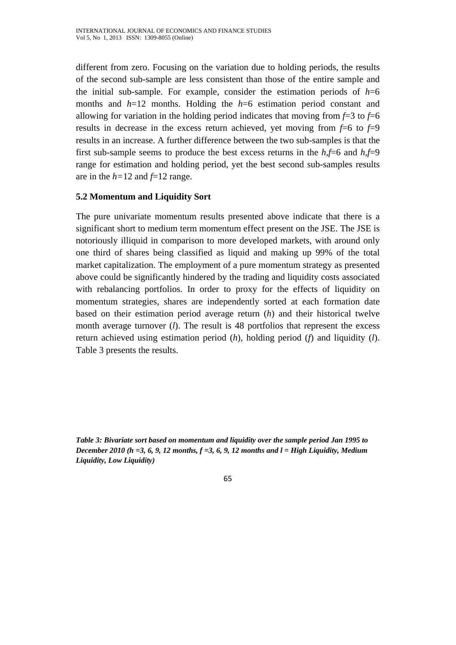different from zero. Focusing on the variation due to holding periods, the results of the second sub-sample are less consistent than those of the entire sample and the initial sub-sample. For example, consider the estimation periods of  $h=6$ months and *h*=12 months. Holding the *h*=6 estimation period constant and allowing for variation in the holding period indicates that moving from  $f=3$  to  $f=6$ results in decrease in the excess return achieved, yet moving from  $f=6$  to  $f=9$ results in an increase. A further difference between the two sub-samples is that the first sub-sample seems to produce the best excess returns in the *h,f*=6 and *h,f*=9 range for estimation and holding period, yet the best second sub-samples results are in the  $h=12$  and  $f=12$  range.

## **5.2 Momentum and Liquidity Sort**

The pure univariate momentum results presented above indicate that there is a significant short to medium term momentum effect present on the JSE. The JSE is notoriously illiquid in comparison to more developed markets, with around only one third of shares being classified as liquid and making up 99% of the total market capitalization. The employment of a pure momentum strategy as presented above could be significantly hindered by the trading and liquidity costs associated with rebalancing portfolios. In order to proxy for the effects of liquidity on momentum strategies, shares are independently sorted at each formation date based on their estimation period average return (*h*) and their historical twelve month average turnover (*l*). The result is 48 portfolios that represent the excess return achieved using estimation period (*h*), holding period (*f*) and liquidity (*l*). Table 3 presents the results.

*Table 3: Bivariate sort based on momentum and liquidity over the sample period Jan 1995 to December 2010 (h =3, 6, 9, 12 months, f =3, 6, 9, 12 months and l = High Liquidity, Medium Liquidity, Low Liquidity)*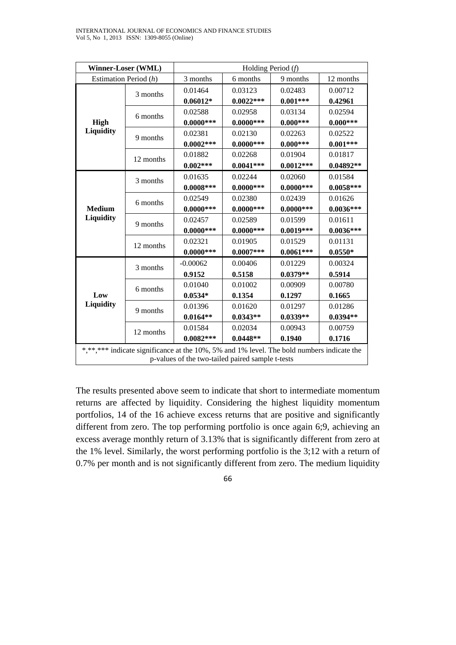| Winner-Loser (WML)                                                                         |           | Holding Period $(f)$ |             |             |             |
|--------------------------------------------------------------------------------------------|-----------|----------------------|-------------|-------------|-------------|
| Estimation Period $(h)$                                                                    |           | 3 months             | 6 months    | 9 months    | 12 months   |
|                                                                                            | 3 months  | 0.01464              | 0.03123     | 0.02483     | 0.00712     |
|                                                                                            |           | $0.06012*$           | $0.0022***$ | $0.001***$  | 0.42961     |
|                                                                                            | 6 months  | 0.02588              | 0.02958     | 0.03134     | 0.02594     |
| <b>High</b>                                                                                |           | $0.0000***$          | $0.0000***$ | $0.000***$  | $0.000***$  |
| Liquidity                                                                                  | 9 months  | 0.02381              | 0.02130     | 0.02263     | 0.02522     |
|                                                                                            |           | $0.0002***$          | $0.0000***$ | $0.000***$  | $0.001***$  |
|                                                                                            | 12 months | 0.01882              | 0.02268     | 0.01904     | 0.01817     |
|                                                                                            |           | $0.002***$           | $0.0041***$ | $0.0012***$ | $0.04892**$ |
|                                                                                            | 3 months  | 0.01635              | 0.02244     | 0.02060     | 0.01584     |
|                                                                                            |           | $0.0008***$          | $0.0000***$ | $0.0000***$ | $0.0058***$ |
|                                                                                            | 6 months  | 0.02549              | 0.02380     | 0.02439     | 0.01626     |
| <b>Medium</b>                                                                              |           | $0.0000***$          | $0.0000***$ | $0.0000***$ | $0.0036***$ |
| Liquidity                                                                                  | 9 months  | 0.02457              | 0.02589     | 0.01599     | 0.01611     |
|                                                                                            |           | $0.0000***$          | $0.0000***$ | $0.0019***$ | $0.0036***$ |
|                                                                                            | 12 months | 0.02321              | 0.01905     | 0.01529     | 0.01131     |
|                                                                                            |           | $0.0000***$          | $0.0007***$ | $0.0061***$ | $0.0550*$   |
|                                                                                            | 3 months  | $-0.00062$           | 0.00406     | 0.01229     | 0.00324     |
| Low<br>Liquidity                                                                           |           | 0.9152               | 0.5158      | $0.0379**$  | 0.5914      |
|                                                                                            | 6 months  | 0.01040              | 0.01002     | 0.00909     | 0.00780     |
|                                                                                            |           | $0.0534*$            | 0.1354      | 0.1297      | 0.1665      |
|                                                                                            | 9 months  | 0.01396              | 0.01620     | 0.01297     | 0.01286     |
|                                                                                            |           | $0.0164**$           | $0.0343**$  | $0.0339**$  | $0.0394**$  |
|                                                                                            | 12 months | 0.01584              | 0.02034     | 0.00943     | 0.00759     |
|                                                                                            |           | $0.0082***$          | $0.0448**$  | 0.1940      | 0.1716      |
| *,**,**** indicate significance at the 10%, 5% and 1% level. The bold numbers indicate the |           |                      |             |             |             |
| p-values of the two-tailed paired sample t-tests                                           |           |                      |             |             |             |

The results presented above seem to indicate that short to intermediate momentum returns are affected by liquidity. Considering the highest liquidity momentum portfolios, 14 of the 16 achieve excess returns that are positive and significantly different from zero. The top performing portfolio is once again 6;9, achieving an excess average monthly return of 3.13% that is significantly different from zero at the 1% level. Similarly, the worst performing portfolio is the 3;12 with a return of 0.7% per month and is not significantly different from zero. The medium liquidity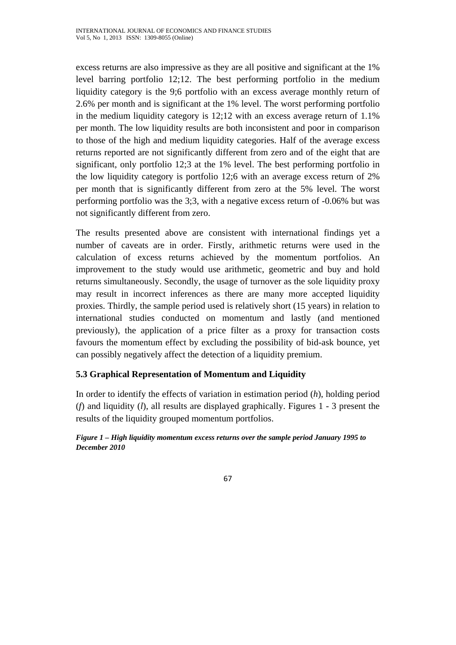excess returns are also impressive as they are all positive and significant at the 1% level barring portfolio 12;12. The best performing portfolio in the medium liquidity category is the 9;6 portfolio with an excess average monthly return of 2.6% per month and is significant at the 1% level. The worst performing portfolio in the medium liquidity category is 12;12 with an excess average return of 1.1% per month. The low liquidity results are both inconsistent and poor in comparison to those of the high and medium liquidity categories. Half of the average excess returns reported are not significantly different from zero and of the eight that are significant, only portfolio 12;3 at the 1% level. The best performing portfolio in the low liquidity category is portfolio 12;6 with an average excess return of 2% per month that is significantly different from zero at the 5% level. The worst performing portfolio was the 3;3, with a negative excess return of -0.06% but was not significantly different from zero.

The results presented above are consistent with international findings yet a number of caveats are in order. Firstly, arithmetic returns were used in the calculation of excess returns achieved by the momentum portfolios. An improvement to the study would use arithmetic, geometric and buy and hold returns simultaneously. Secondly, the usage of turnover as the sole liquidity proxy may result in incorrect inferences as there are many more accepted liquidity proxies. Thirdly, the sample period used is relatively short (15 years) in relation to international studies conducted on momentum and lastly (and mentioned previously), the application of a price filter as a proxy for transaction costs favours the momentum effect by excluding the possibility of bid-ask bounce, yet can possibly negatively affect the detection of a liquidity premium.

# **5.3 Graphical Representation of Momentum and Liquidity**

In order to identify the effects of variation in estimation period (*h*), holding period (*f*) and liquidity (*l*), all results are displayed graphically. Figures 1 - 3 present the results of the liquidity grouped momentum portfolios.

#### *Figure 1 – High liquidity momentum excess returns over the sample period January 1995 to December 2010*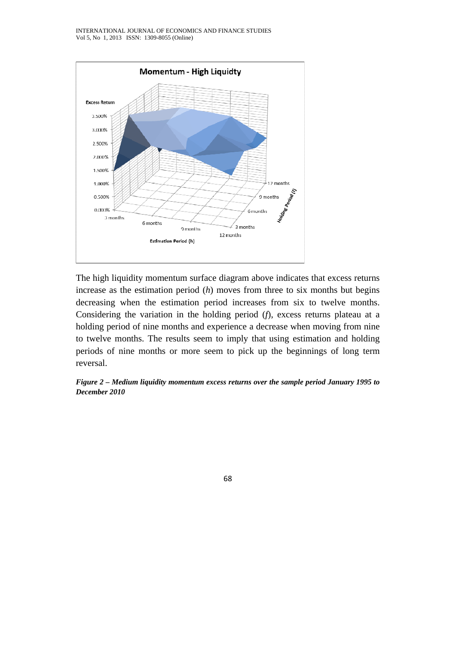

The high liquidity momentum surface diagram above indicates that excess returns increase as the estimation period (*h*) moves from three to six months but begins decreasing when the estimation period increases from six to twelve months. Considering the variation in the holding period (*f*), excess returns plateau at a holding period of nine months and experience a decrease when moving from nine to twelve months. The results seem to imply that using estimation and holding periods of nine months or more seem to pick up the beginnings of long term reversal.

*Figure 2 – Medium liquidity momentum excess returns over the sample period January 1995 to December 2010*

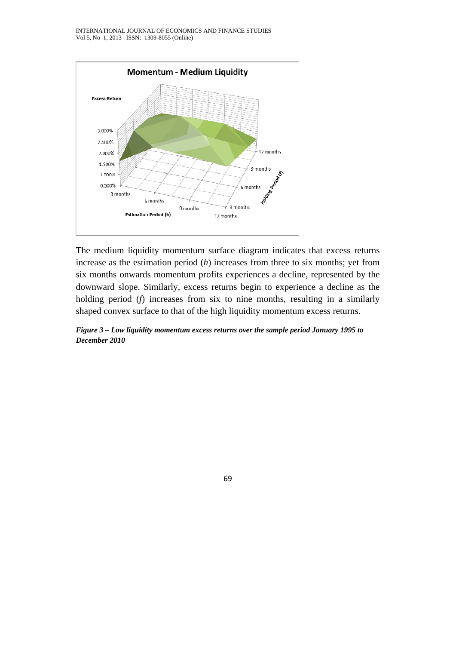

The medium liquidity momentum surface diagram indicates that excess returns increase as the estimation period (*h*) increases from three to six months; yet from six months onwards momentum profits experiences a decline, represented by the downward slope. Similarly, excess returns begin to experience a decline as the holding period (*f*) increases from six to nine months, resulting in a similarly shaped convex surface to that of the high liquidity momentum excess returns.

*Figure 3 – Low liquidity momentum excess returns over the sample period January 1995 to December 2010* 

69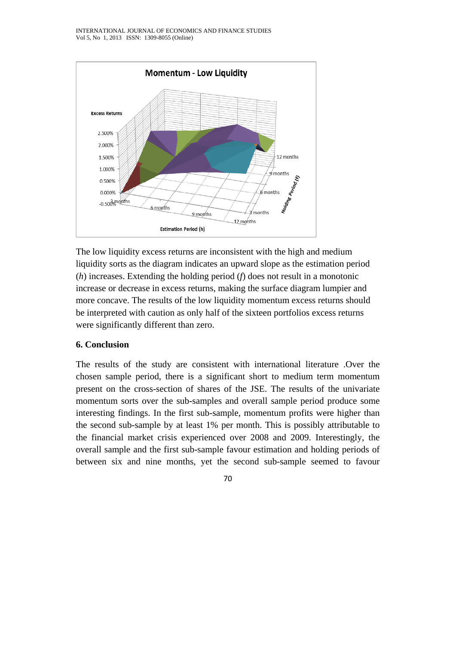

The low liquidity excess returns are inconsistent with the high and medium liquidity sorts as the diagram indicates an upward slope as the estimation period (*h*) increases. Extending the holding period (*f*) does not result in a monotonic increase or decrease in excess returns, making the surface diagram lumpier and more concave. The results of the low liquidity momentum excess returns should be interpreted with caution as only half of the sixteen portfolios excess returns were significantly different than zero.

## **6. Conclusion**

The results of the study are consistent with international literature .Over the chosen sample period, there is a significant short to medium term momentum present on the cross-section of shares of the JSE. The results of the univariate momentum sorts over the sub-samples and overall sample period produce some interesting findings. In the first sub-sample, momentum profits were higher than the second sub-sample by at least 1% per month. This is possibly attributable to the financial market crisis experienced over 2008 and 2009. Interestingly, the overall sample and the first sub-sample favour estimation and holding periods of between six and nine months, yet the second sub-sample seemed to favour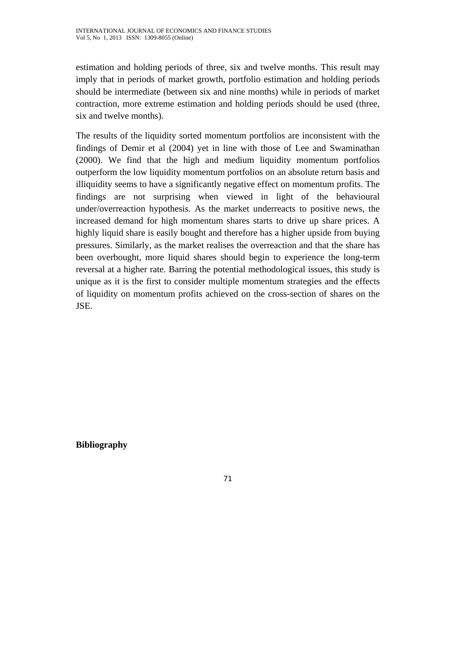estimation and holding periods of three, six and twelve months. This result may imply that in periods of market growth, portfolio estimation and holding periods should be intermediate (between six and nine months) while in periods of market contraction, more extreme estimation and holding periods should be used (three, six and twelve months).

The results of the liquidity sorted momentum portfolios are inconsistent with the findings of Demir et al (2004) yet in line with those of Lee and Swaminathan (2000). We find that the high and medium liquidity momentum portfolios outperform the low liquidity momentum portfolios on an absolute return basis and illiquidity seems to have a significantly negative effect on momentum profits. The findings are not surprising when viewed in light of the behavioural under/overreaction hypothesis. As the market underreacts to positive news, the increased demand for high momentum shares starts to drive up share prices. A highly liquid share is easily bought and therefore has a higher upside from buying pressures. Similarly, as the market realises the overreaction and that the share has been overbought, more liquid shares should begin to experience the long-term reversal at a higher rate. Barring the potential methodological issues, this study is unique as it is the first to consider multiple momentum strategies and the effects of liquidity on momentum profits achieved on the cross-section of shares on the JSE.

**Bibliography**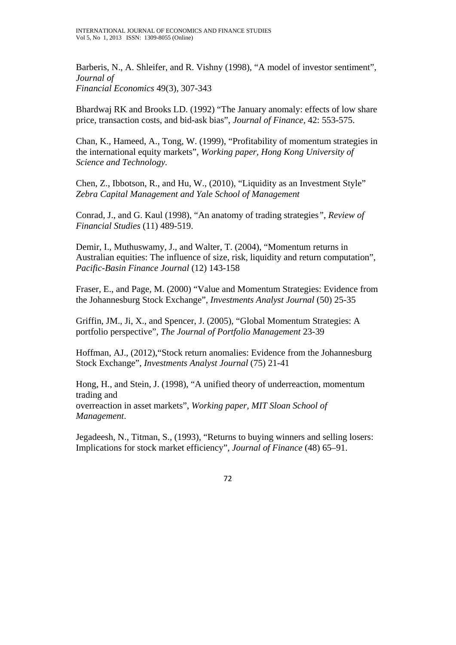Barberis, N., A. Shleifer, and R. Vishny (1998), "A model of investor sentiment", *Journal of Financial Economics* 49(3), 307-343

Bhardwaj RK and Brooks LD. (1992) "The January anomaly: effects of low share price, transaction costs, and bid-ask bias", *Journal of Finance,* 42: 553-575.

Chan, K., Hameed, A., Tong, W. (1999), "Profitability of momentum strategies in the international equity markets", *Working paper, Hong Kong University of Science and Technology.* 

Chen, Z., Ibbotson, R., and Hu, W., (2010), "Liquidity as an Investment Style" *Zebra Capital Management and Yale School of Management* 

Conrad, J., and G. Kaul (1998), "An anatomy of trading strategies*", Review of Financial Studies* (11) 489-519.

Demir, I., Muthuswamy, J., and Walter, T. (2004), "Momentum returns in Australian equities: The influence of size, risk, liquidity and return computation", *Pacific-Basin Finance Journal* (12) 143-158

Fraser, E., and Page, M. (2000) "Value and Momentum Strategies: Evidence from the Johannesburg Stock Exchange", *Investments Analyst Journal* (50) 25-35

Griffin, JM., Ji, X., and Spencer, J. (2005), "Global Momentum Strategies: A portfolio perspective", *The Journal of Portfolio Management* 23-39

Hoffman, AJ., (2012),"Stock return anomalies: Evidence from the Johannesburg Stock Exchange", *Investments Analyst Journal* (75) 21-41

Hong, H., and Stein, J. (1998), "A unified theory of underreaction, momentum trading and overreaction in asset markets", *Working paper, MIT Sloan School of Management*.

Jegadeesh, N., Titman, S., (1993), "Returns to buying winners and selling losers: Implications for stock market efficiency", *Journal of Finance* (48) 65–91.